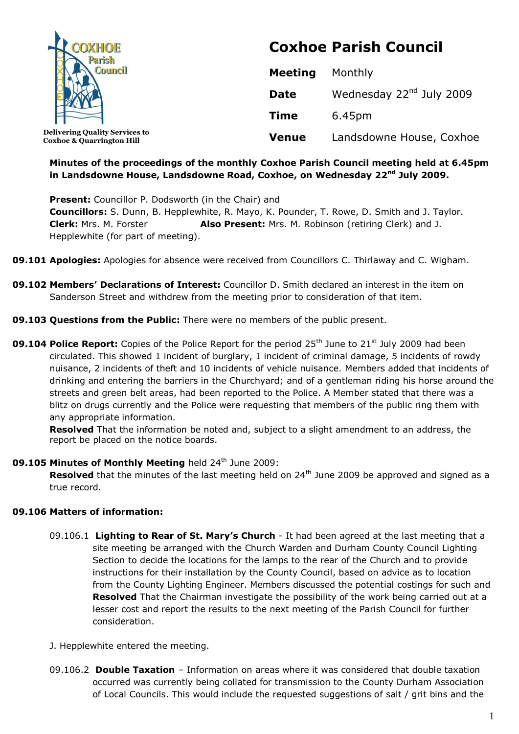

**Delivering Quality Services to Coxhoe & Quarrington Hill**

# **Coxhoe Parish Council**

| <b>Meeting</b> | Monthly                              |
|----------------|--------------------------------------|
| <b>Date</b>    | Wednesday 22 <sup>nd</sup> July 2009 |
| <b>Time</b>    | 6.45pm                               |
| <b>Venue</b>   | Landsdowne House, Coxhoe             |

## **Minutes of the proceedings of the monthly Coxhoe Parish Council meeting held at 6.45pm in Landsdowne House, Landsdowne Road, Coxhoe, on Wednesday 22 nd July 2009.**

**Present:** Councillor P. Dodsworth (in the Chair) and **Councillors:** S. Dunn, B. Hepplewhite, R. Mayo, K. Pounder, T. Rowe, D. Smith and J. Taylor. **Clerk:** Mrs. M. Forster **Also Present:** Mrs. M. Robinson (retiring Clerk) and J. Hepplewhite (for part of meeting).

- **09.101 Apologies:** Apologies for absence were received from Councillors C. Thirlaway and C. Wigham.
- **09.102 Members' Declarations of Interest:** Councillor D. Smith declared an interest in the item on Sanderson Street and withdrew from the meeting prior to consideration of that item.
- **09.103 Questions from the Public:** There were no members of the public present.
- **09.104 Police Report:** Copies of the Police Report for the period 25<sup>th</sup> June to 21<sup>st</sup> July 2009 had been circulated. This showed 1 incident of burglary, 1 incident of criminal damage, 5 incidents of rowdy nuisance, 2 incidents of theft and 10 incidents of vehicle nuisance. Members added that incidents of drinking and entering the barriers in the Churchyard; and of a gentleman riding his horse around the streets and green belt areas, had been reported to the Police. A Member stated that there was a blitz on drugs currently and the Police were requesting that members of the public ring them with any appropriate information.

**Resolved** That the information be noted and, subject to a slight amendment to an address, the report be placed on the notice boards.

## **09.105 Minutes of Monthly Meeting** held 24<sup>th</sup> June 2009:

**Resolved** that the minutes of the last meeting held on 24<sup>th</sup> June 2009 be approved and signed as a true record.

## **09.106 Matters of information:**

- 09.106.1 **Lighting to Rear of St. Mary's Church** It had been agreed at the last meeting that a site meeting be arranged with the Church Warden and Durham County Council Lighting Section to decide the locations for the lamps to the rear of the Church and to provide instructions for their installation by the County Council, based on advice as to location from the County Lighting Engineer. Members discussed the potential costings for such and **Resolved** That the Chairman investigate the possibility of the work being carried out at a lesser cost and report the results to the next meeting of the Parish Council for further consideration.
- J. Hepplewhite entered the meeting.
- 09.106.2 **Double Taxation** Information on areas where it was considered that double taxation occurred was currently being collated for transmission to the County Durham Association of Local Councils. This would include the requested suggestions of salt / grit bins and the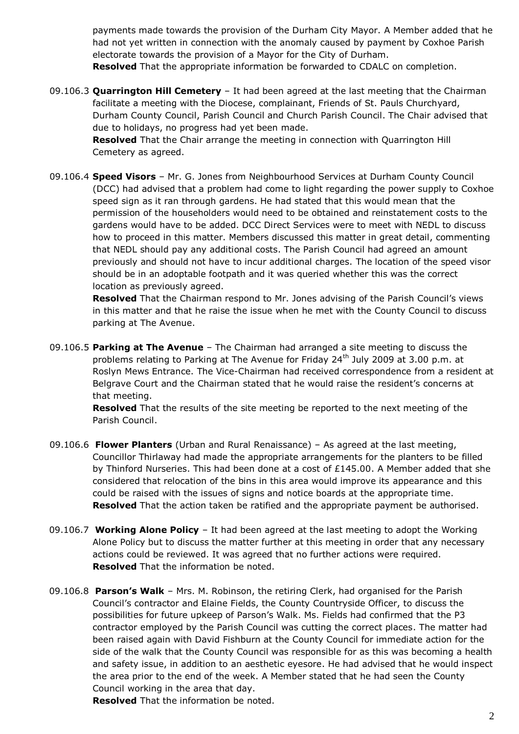payments made towards the provision of the Durham City Mayor. A Member added that he had not yet written in connection with the anomaly caused by payment by Coxhoe Parish electorate towards the provision of a Mayor for the City of Durham. **Resolved** That the appropriate information be forwarded to CDALC on completion.

09.106.3 **Quarrington Hill Cemetery** – It had been agreed at the last meeting that the Chairman facilitate a meeting with the Diocese, complainant, Friends of St. Pauls Churchyard, Durham County Council, Parish Council and Church Parish Council. The Chair advised that due to holidays, no progress had yet been made.

**Resolved** That the Chair arrange the meeting in connection with Quarrington Hill Cemetery as agreed.

09.106.4 **Speed Visors** – Mr. G. Jones from Neighbourhood Services at Durham County Council (DCC) had advised that a problem had come to light regarding the power supply to Coxhoe speed sign as it ran through gardens. He had stated that this would mean that the permission of the householders would need to be obtained and reinstatement costs to the gardens would have to be added. DCC Direct Services were to meet with NEDL to discuss how to proceed in this matter. Members discussed this matter in great detail, commenting that NEDL should pay any additional costs. The Parish Council had agreed an amount previously and should not have to incur additional charges. The location of the speed visor should be in an adoptable footpath and it was queried whether this was the correct location as previously agreed.

**Resolved** That the Chairman respond to Mr. Jones advising of the Parish Council's views in this matter and that he raise the issue when he met with the County Council to discuss parking at The Avenue.

09.106.5 **Parking at The Avenue** – The Chairman had arranged a site meeting to discuss the problems relating to Parking at The Avenue for Friday 24<sup>th</sup> July 2009 at 3.00 p.m. at Roslyn Mews Entrance. The Vice-Chairman had received correspondence from a resident at Belgrave Court and the Chairman stated that he would raise the resident's concerns at that meeting.

**Resolved** That the results of the site meeting be reported to the next meeting of the Parish Council.

- 09.106.6 **Flower Planters** (Urban and Rural Renaissance) As agreed at the last meeting, Councillor Thirlaway had made the appropriate arrangements for the planters to be filled by Thinford Nurseries. This had been done at a cost of £145.00. A Member added that she considered that relocation of the bins in this area would improve its appearance and this could be raised with the issues of signs and notice boards at the appropriate time. **Resolved** That the action taken be ratified and the appropriate payment be authorised.
- 09.106.7 **Working Alone Policy** It had been agreed at the last meeting to adopt the Working Alone Policy but to discuss the matter further at this meeting in order that any necessary actions could be reviewed. It was agreed that no further actions were required. **Resolved** That the information be noted.
- 09.106.8 **Parson's Walk** Mrs. M. Robinson, the retiring Clerk, had organised for the Parish Council's contractor and Elaine Fields, the County Countryside Officer, to discuss the possibilities for future upkeep of Parson's Walk. Ms. Fields had confirmed that the P3 contractor employed by the Parish Council was cutting the correct places. The matter had been raised again with David Fishburn at the County Council for immediate action for the side of the walk that the County Council was responsible for as this was becoming a health and safety issue, in addition to an aesthetic eyesore. He had advised that he would inspect the area prior to the end of the week. A Member stated that he had seen the County Council working in the area that day.

**Resolved** That the information be noted.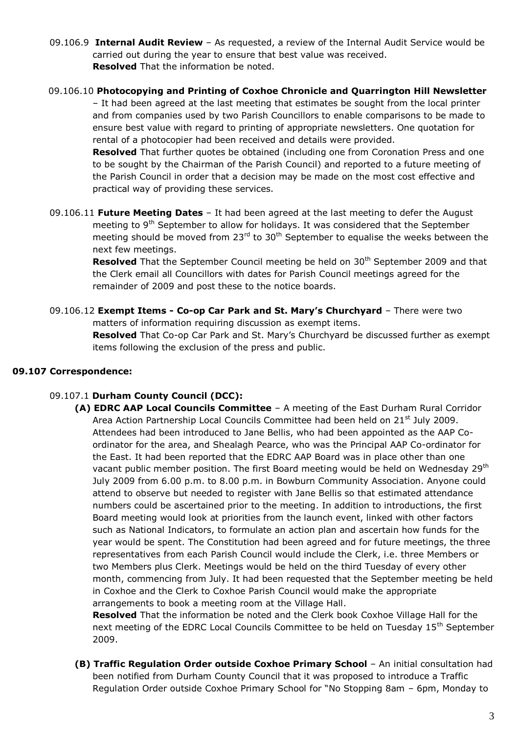- 09.106.9 **Internal Audit Review** As requested, a review of the Internal Audit Service would be carried out during the year to ensure that best value was received. **Resolved** That the information be noted.
- 09.106.10 **Photocopying and Printing of Coxhoe Chronicle and Quarrington Hill Newsletter**

– It had been agreed at the last meeting that estimates be sought from the local printer and from companies used by two Parish Councillors to enable comparisons to be made to ensure best value with regard to printing of appropriate newsletters. One quotation for rental of a photocopier had been received and details were provided.

**Resolved** That further quotes be obtained (including one from Coronation Press and one to be sought by the Chairman of the Parish Council) and reported to a future meeting of the Parish Council in order that a decision may be made on the most cost effective and practical way of providing these services.

09.106.11 **Future Meeting Dates** – It had been agreed at the last meeting to defer the August meeting to 9<sup>th</sup> September to allow for holidays. It was considered that the September meeting should be moved from  $23<sup>rd</sup>$  to  $30<sup>th</sup>$  September to equalise the weeks between the next few meetings.

**Resolved** That the September Council meeting be held on 30<sup>th</sup> September 2009 and that the Clerk email all Councillors with dates for Parish Council meetings agreed for the remainder of 2009 and post these to the notice boards.

09.106.12 **Exempt Items - Co-op Car Park and St. Mary's Churchyard** – There were two matters of information requiring discussion as exempt items.

> **Resolved** That Co-op Car Park and St. Mary's Churchyard be discussed further as exempt items following the exclusion of the press and public.

#### **09.107 Correspondence:**

#### 09.107.1 **Durham County Council (DCC):**

**(A) EDRC AAP Local Councils Committee** – A meeting of the East Durham Rural Corridor Area Action Partnership Local Councils Committee had been held on 21<sup>st</sup> July 2009. Attendees had been introduced to Jane Bellis, who had been appointed as the AAP Coordinator for the area, and Shealagh Pearce, who was the Principal AAP Co-ordinator for the East. It had been reported that the EDRC AAP Board was in place other than one vacant public member position. The first Board meeting would be held on Wednesday 29<sup>th</sup> July 2009 from 6.00 p.m. to 8.00 p.m. in Bowburn Community Association. Anyone could attend to observe but needed to register with Jane Bellis so that estimated attendance numbers could be ascertained prior to the meeting. In addition to introductions, the first Board meeting would look at priorities from the launch event, linked with other factors such as National Indicators, to formulate an action plan and ascertain how funds for the year would be spent. The Constitution had been agreed and for future meetings, the three representatives from each Parish Council would include the Clerk, i.e. three Members or two Members plus Clerk. Meetings would be held on the third Tuesday of every other month, commencing from July. It had been requested that the September meeting be held in Coxhoe and the Clerk to Coxhoe Parish Council would make the appropriate arrangements to book a meeting room at the Village Hall.

**Resolved** That the information be noted and the Clerk book Coxhoe Village Hall for the next meeting of the EDRC Local Councils Committee to be held on Tuesday 15<sup>th</sup> September 2009.

**(B) Traffic Regulation Order outside Coxhoe Primary School** – An initial consultation had been notified from Durham County Council that it was proposed to introduce a Traffic Regulation Order outside Coxhoe Primary School for "No Stopping 8am – 6pm, Monday to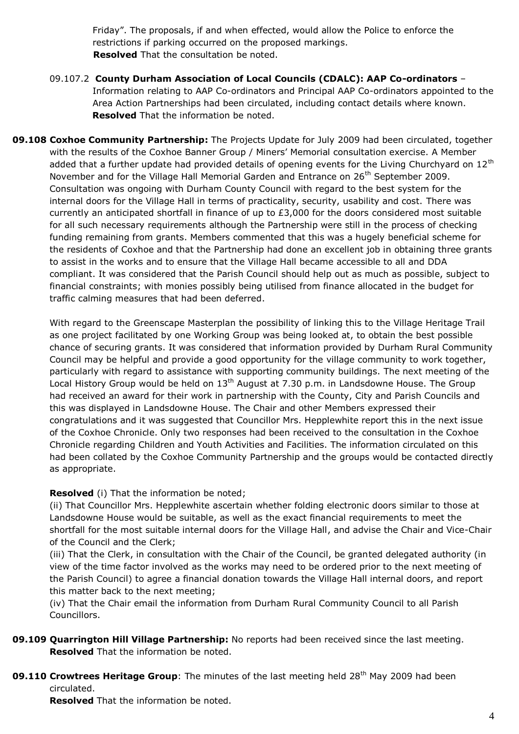Friday". The proposals, if and when effected, would allow the Police to enforce the restrictions if parking occurred on the proposed markings. **Resolved** That the consultation be noted.

- 09.107.2 **County Durham Association of Local Councils (CDALC): AAP Co-ordinators** Information relating to AAP Co-ordinators and Principal AAP Co-ordinators appointed to the Area Action Partnerships had been circulated, including contact details where known.  **Resolved** That the information be noted.
- **09.108 Coxhoe Community Partnership:** The Projects Update for July 2009 had been circulated, together with the results of the Coxhoe Banner Group / Miners' Memorial consultation exercise. A Member added that a further update had provided details of opening events for the Living Churchyard on  $12<sup>th</sup>$ November and for the Village Hall Memorial Garden and Entrance on 26<sup>th</sup> September 2009. Consultation was ongoing with Durham County Council with regard to the best system for the internal doors for the Village Hall in terms of practicality, security, usability and cost. There was currently an anticipated shortfall in finance of up to £3,000 for the doors considered most suitable for all such necessary requirements although the Partnership were still in the process of checking funding remaining from grants. Members commented that this was a hugely beneficial scheme for the residents of Coxhoe and that the Partnership had done an excellent job in obtaining three grants to assist in the works and to ensure that the Village Hall became accessible to all and DDA compliant. It was considered that the Parish Council should help out as much as possible, subject to financial constraints; with monies possibly being utilised from finance allocated in the budget for traffic calming measures that had been deferred.

With regard to the Greenscape Masterplan the possibility of linking this to the Village Heritage Trail as one project facilitated by one Working Group was being looked at, to obtain the best possible chance of securing grants. It was considered that information provided by Durham Rural Community Council may be helpful and provide a good opportunity for the village community to work together, particularly with regard to assistance with supporting community buildings. The next meeting of the Local History Group would be held on  $13<sup>th</sup>$  August at 7.30 p.m. in Landsdowne House. The Group had received an award for their work in partnership with the County, City and Parish Councils and this was displayed in Landsdowne House. The Chair and other Members expressed their congratulations and it was suggested that Councillor Mrs. Hepplewhite report this in the next issue of the Coxhoe Chronicle. Only two responses had been received to the consultation in the Coxhoe Chronicle regarding Children and Youth Activities and Facilities. The information circulated on this had been collated by the Coxhoe Community Partnership and the groups would be contacted directly as appropriate.

## **Resolved** (i) That the information be noted;

(ii) That Councillor Mrs. Hepplewhite ascertain whether folding electronic doors similar to those at Landsdowne House would be suitable, as well as the exact financial requirements to meet the shortfall for the most suitable internal doors for the Village Hall, and advise the Chair and Vice-Chair of the Council and the Clerk;

(iii) That the Clerk, in consultation with the Chair of the Council, be granted delegated authority (in view of the time factor involved as the works may need to be ordered prior to the next meeting of the Parish Council) to agree a financial donation towards the Village Hall internal doors, and report this matter back to the next meeting;

(iv) That the Chair email the information from Durham Rural Community Council to all Parish Councillors.

- **09.109 Quarrington Hill Village Partnership:** No reports had been received since the last meeting. **Resolved** That the information be noted.
- **09.110 Crowtrees Heritage Group**: The minutes of the last meeting held 28<sup>th</sup> May 2009 had been circulated.

**Resolved** That the information be noted.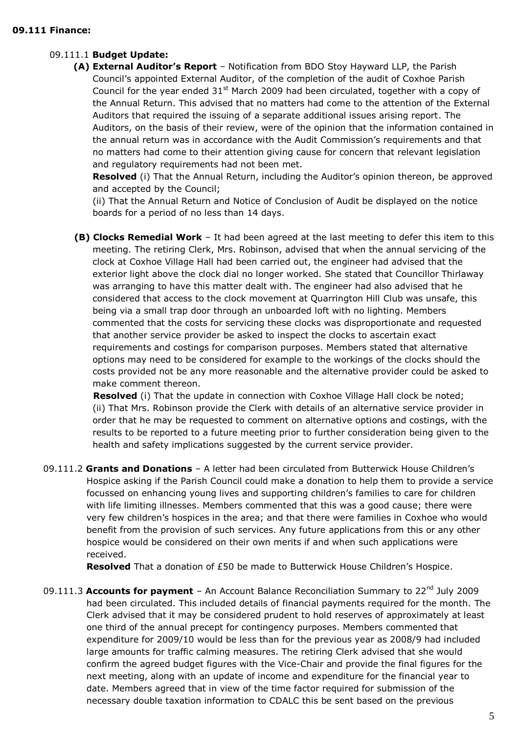#### 09.111.1 **Budget Update:**

 **(A) External Auditor's Report** – Notification from BDO Stoy Hayward LLP, the Parish Council's appointed External Auditor, of the completion of the audit of Coxhoe Parish Council for the year ended  $31<sup>st</sup>$  March 2009 had been circulated, together with a copy of the Annual Return. This advised that no matters had come to the attention of the External Auditors that required the issuing of a separate additional issues arising report. The Auditors, on the basis of their review, were of the opinion that the information contained in the annual return was in accordance with the Audit Commission's requirements and that no matters had come to their attention giving cause for concern that relevant legislation and regulatory requirements had not been met.

**Resolved** (i) That the Annual Return, including the Auditor's opinion thereon, be approved and accepted by the Council;

(ii) That the Annual Return and Notice of Conclusion of Audit be displayed on the notice boards for a period of no less than 14 days.

**(B) Clocks Remedial Work** – It had been agreed at the last meeting to defer this item to this meeting. The retiring Clerk, Mrs. Robinson, advised that when the annual servicing of the clock at Coxhoe Village Hall had been carried out, the engineer had advised that the exterior light above the clock dial no longer worked. She stated that Councillor Thirlaway was arranging to have this matter dealt with. The engineer had also advised that he considered that access to the clock movement at Quarrington Hill Club was unsafe, this being via a small trap door through an unboarded loft with no lighting. Members commented that the costs for servicing these clocks was disproportionate and requested that another service provider be asked to inspect the clocks to ascertain exact requirements and costings for comparison purposes. Members stated that alternative options may need to be considered for example to the workings of the clocks should the costs provided not be any more reasonable and the alternative provider could be asked to make comment thereon.

**Resolved** (i) That the update in connection with Coxhoe Village Hall clock be noted; (ii) That Mrs. Robinson provide the Clerk with details of an alternative service provider in order that he may be requested to comment on alternative options and costings, with the results to be reported to a future meeting prior to further consideration being given to the health and safety implications suggested by the current service provider.

09.111.2 **Grants and Donations** – A letter had been circulated from Butterwick House Children's Hospice asking if the Parish Council could make a donation to help them to provide a service focussed on enhancing young lives and supporting children's families to care for children with life limiting illnesses. Members commented that this was a good cause; there were very few children's hospices in the area; and that there were families in Coxhoe who would benefit from the provision of such services. Any future applications from this or any other hospice would be considered on their own merits if and when such applications were received.

**Resolved** That a donation of £50 be made to Butterwick House Children's Hospice.

09.111.3 Accounts for payment - An Account Balance Reconciliation Summary to 22<sup>nd</sup> July 2009 had been circulated. This included details of financial payments required for the month. The Clerk advised that it may be considered prudent to hold reserves of approximately at least one third of the annual precept for contingency purposes. Members commented that expenditure for 2009/10 would be less than for the previous year as 2008/9 had included large amounts for traffic calming measures. The retiring Clerk advised that she would confirm the agreed budget figures with the Vice-Chair and provide the final figures for the next meeting, along with an update of income and expenditure for the financial year to date. Members agreed that in view of the time factor required for submission of the necessary double taxation information to CDALC this be sent based on the previous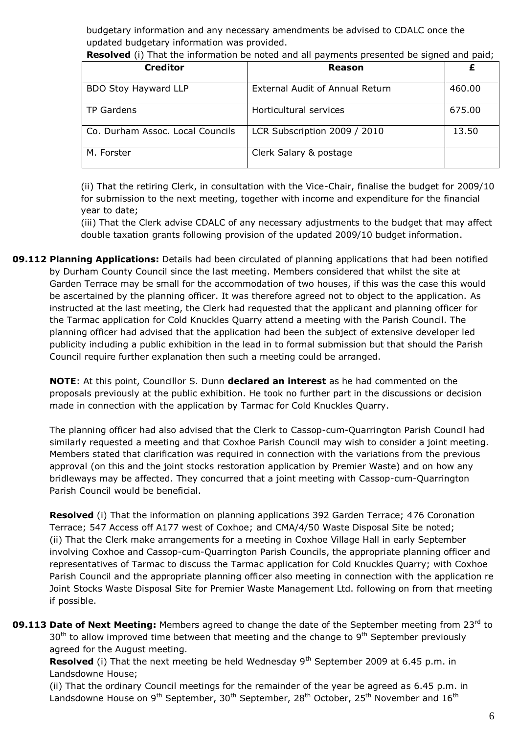budgetary information and any necessary amendments be advised to CDALC once the updated budgetary information was provided.

| <b>Creditor</b>                  | Reason                                 |        |
|----------------------------------|----------------------------------------|--------|
| BDO Stoy Hayward LLP             | <b>External Audit of Annual Return</b> | 460.00 |
| TP Gardens                       | Horticultural services                 | 675.00 |
| Co. Durham Assoc. Local Councils | LCR Subscription 2009 / 2010           | 13.50  |
| M. Forster                       | Clerk Salary & postage                 |        |

**Resolved** (i) That the information be noted and all payments presented be signed and paid;

(ii) That the retiring Clerk, in consultation with the Vice-Chair, finalise the budget for 2009/10 for submission to the next meeting, together with income and expenditure for the financial year to date;

(iii) That the Clerk advise CDALC of any necessary adjustments to the budget that may affect double taxation grants following provision of the updated 2009/10 budget information.

**09.112 Planning Applications:** Details had been circulated of planning applications that had been notified by Durham County Council since the last meeting. Members considered that whilst the site at Garden Terrace may be small for the accommodation of two houses, if this was the case this would be ascertained by the planning officer. It was therefore agreed not to object to the application. As instructed at the last meeting, the Clerk had requested that the applicant and planning officer for the Tarmac application for Cold Knuckles Quarry attend a meeting with the Parish Council. The planning officer had advised that the application had been the subject of extensive developer led publicity including a public exhibition in the lead in to formal submission but that should the Parish Council require further explanation then such a meeting could be arranged.

**NOTE**: At this point, Councillor S. Dunn **declared an interest** as he had commented on the proposals previously at the public exhibition. He took no further part in the discussions or decision made in connection with the application by Tarmac for Cold Knuckles Quarry.

 The planning officer had also advised that the Clerk to Cassop-cum-Quarrington Parish Council had similarly requested a meeting and that Coxhoe Parish Council may wish to consider a joint meeting. Members stated that clarification was required in connection with the variations from the previous approval (on this and the joint stocks restoration application by Premier Waste) and on how any bridleways may be affected. They concurred that a joint meeting with Cassop-cum-Quarrington Parish Council would be beneficial.

**Resolved** (i) That the information on planning applications 392 Garden Terrace; 476 Coronation Terrace; 547 Access off A177 west of Coxhoe; and CMA/4/50 Waste Disposal Site be noted; (ii) That the Clerk make arrangements for a meeting in Coxhoe Village Hall in early September involving Coxhoe and Cassop-cum-Quarrington Parish Councils, the appropriate planning officer and representatives of Tarmac to discuss the Tarmac application for Cold Knuckles Quarry; with Coxhoe Parish Council and the appropriate planning officer also meeting in connection with the application re Joint Stocks Waste Disposal Site for Premier Waste Management Ltd. following on from that meeting if possible.

**09.113 Date of Next Meeting:** Members agreed to change the date of the September meeting from 23<sup>rd</sup> to  $30<sup>th</sup>$  to allow improved time between that meeting and the change to  $9<sup>th</sup>$  September previously agreed for the August meeting.

**Resolved** (i) That the next meeting be held Wednesday 9<sup>th</sup> September 2009 at 6.45 p.m. in Landsdowne House;

(ii) That the ordinary Council meetings for the remainder of the year be agreed as 6.45 p.m. in Landsdowne House on  $9^{th}$  September,  $30^{th}$  September,  $28^{th}$  October,  $25^{th}$  November and  $16^{th}$